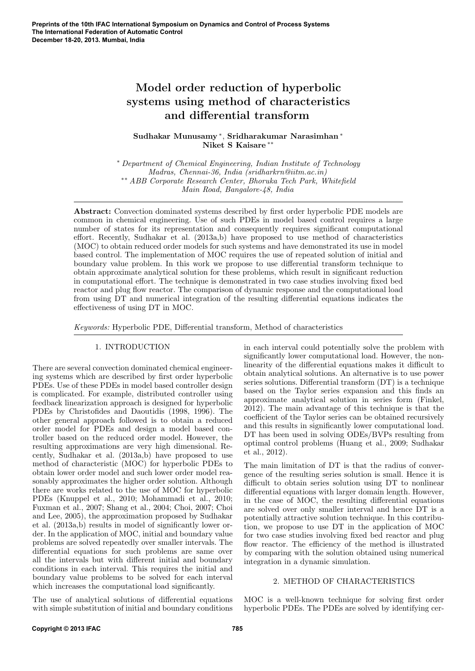# Model order reduction of hyperbolic systems using method of characteristics and differential transform

Sudhakar Munusamy <sup>∗</sup> , Sridharakumar Narasimhan <sup>∗</sup> Niket S Kaisare ∗∗

<sup>∗</sup> Department of Chemical Engineering, Indian Institute of Technology Madras, Chennai-36, India (sridharkrn@iitm.ac.in) ∗∗ ABB Corporate Research Center, Bhoruka Tech Park, Whitefield Main Road, Bangalore-48, India

Abstract: Convection dominated systems described by first order hyperbolic PDE models are common in chemical engineering. Use of such PDEs in model based control requires a large number of states for its representation and consequently requires significant computational effort. Recently, Sudhakar et al. (2013a,b) have proposed to use method of characteristics (MOC) to obtain reduced order models for such systems and have demonstrated its use in model based control. The implementation of MOC requires the use of repeated solution of initial and boundary value problem. In this work we propose to use differential transform technique to obtain approximate analytical solution for these problems, which result in significant reduction in computational effort. The technique is demonstrated in two case studies involving fixed bed reactor and plug flow reactor. The comparison of dynamic response and the computational load from using DT and numerical integration of the resulting differential equations indicates the effectiveness of using DT in MOC.

Keywords: Hyperbolic PDE, Differential transform, Method of characteristics

## 1. INTRODUCTION

There are several convection dominated chemical engineering systems which are described by first order hyperbolic PDEs. Use of these PDEs in model based controller design is complicated. For example, distributed controller using feedback linearization approach is designed for hyperbolic PDEs by Christofides and Daoutidis (1998, 1996). The other general approach followed is to obtain a reduced order model for PDEs and design a model based controller based on the reduced order model. However, the resulting approximations are very high dimensional. Recently, Sudhakar et al. (2013a,b) have proposed to use method of characteristic (MOC) for hyperbolic PDEs to obtain lower order model and such lower order model reasonably approximates the higher order solution. Although there are works related to the use of MOC for hyperbolic PDEs (Knuppel et al., 2010; Mohammadi et al., 2010; Fuxman et al., 2007; Shang et al., 2004; Choi, 2007; Choi and Lee, 2005), the approximation proposed by Sudhakar et al. (2013a,b) results in model of significantly lower order. In the application of MOC, initial and boundary value problems are solved repeatedly over smaller intervals. The differential equations for such problems are same over all the intervals but with different initial and boundary conditions in each interval. This requires the initial and boundary value problems to be solved for each interval which increases the computational load significantly.

The use of analytical solutions of differential equations with simple substitution of initial and boundary conditions

in each interval could potentially solve the problem with significantly lower computational load. However, the nonlinearity of the differential equations makes it difficult to obtain analytical solutions. An alternative is to use power series solutions. Differential transform (DT) is a technique based on the Taylor series expansion and this finds an approximate analytical solution in series form (Finkel, 2012). The main advantage of this technique is that the coefficient of the Taylor series can be obtained recursively and this results in significantly lower computational load. DT has been used in solving ODEs/BVPs resulting from optimal control problems (Huang et al., 2009; Sudhakar et al., 2012).

The main limitation of DT is that the radius of convergence of the resulting series solution is small. Hence it is difficult to obtain series solution using DT to nonlinear differential equations with larger domain length. However, in the case of MOC, the resulting differential equations are solved over only smaller interval and hence DT is a potentially attractive solution technique. In this contribution, we propose to use DT in the application of MOC for two case studies involving fixed bed reactor and plug flow reactor. The efficiency of the method is illustrated by comparing with the solution obtained using numerical integration in a dynamic simulation.

#### 2. METHOD OF CHARACTERISTICS

MOC is a well-known technique for solving first order hyperbolic PDEs. The PDEs are solved by identifying cer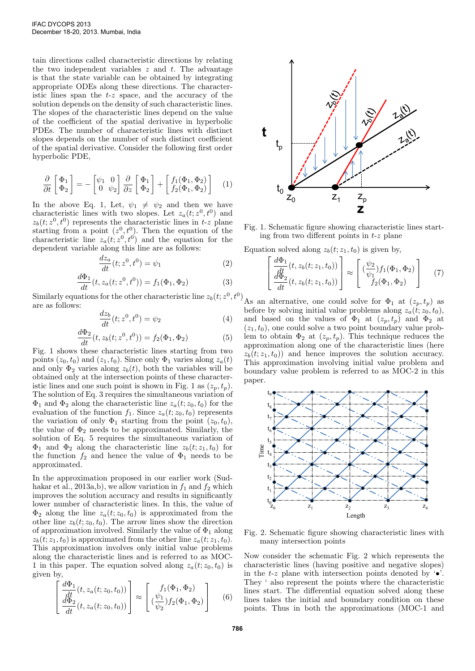tain directions called characteristic directions by relating the two independent variables  $z$  and  $t$ . The advantage is that the state variable can be obtained by integrating appropriate ODEs along these directions. The characteristic lines span the  $t-z$  space, and the accuracy of the solution depends on the density of such characteristic lines. The slopes of the characteristic lines depend on the value of the coefficient of the spatial derivative in hyperbolic PDEs. The number of characteristic lines with distinct slopes depends on the number of such distinct coefficient of the spatial derivative. Consider the following first order hyperbolic PDE,

$$
\frac{\partial}{\partial t} \begin{bmatrix} \Phi_1 \\ \Phi_2 \end{bmatrix} = - \begin{bmatrix} \psi_1 & 0 \\ 0 & \psi_2 \end{bmatrix} \frac{\partial}{\partial z} \begin{bmatrix} \Phi_1 \\ \Phi_2 \end{bmatrix} + \begin{bmatrix} f_1(\Phi_1, \Phi_2) \\ f_2(\Phi_1, \Phi_2) \end{bmatrix} \quad (1)
$$

In the above Eq. 1, Let,  $\psi_1 \neq \psi_2$  and then we have characteristic lines with two slopes. Let  $z_a(t; z^0, t^0)$  and  $z_b(t; z^0, t^0)$  represents the characteristic lines in t-z plane starting from a point  $(z^0, t^0)$ . Then the equation of the characteristic line  $z_a(t; z^0, t^0)$  and the equation for the dependent variable along this line are as follows:

$$
\frac{dz_a}{dt}(t; z^0, t^0) = \psi_1\tag{2}
$$

$$
\frac{d\Phi_1}{dt}(t, z_a(t; z^0, t^0)) = f_1(\Phi_1, \Phi_2)
$$
\n(3)

Similarly equations for the other characteristic line  $z_b(t; z^0, t^0)$ are as follows:

$$
\frac{dz_b}{dt}(t; z^0, t^0) = \psi_2
$$
 (4)

$$
\frac{d\Phi_2}{dt}(t, z_b(t; z^0, t^0)) = f_2(\Phi_1, \Phi_2)
$$
\n(5)

Fig. 1 shows these characteristic lines starting from two points  $(z_0, t_0)$  and  $(z_1, t_0)$ . Since only  $\Phi_1$  varies along  $z_a(t)$ and only  $\Phi_2$  varies along  $z_b(t)$ , both the variables will be obtained only at the intersection points of these characteristic lines and one such point is shown in Fig. 1 as  $(z_p, t_p)$ . The solution of Eq. 3 requires the simultaneous variation of  $\Phi_1$  and  $\Phi_2$  along the characteristic line  $z_a(t; z_0, t_0)$  for the evaluation of the function  $f_1$ . Since  $z_a(t; z_0, t_0)$  represents the variation of only  $\Phi_1$  starting from the point  $(z_0, t_0)$ , the value of  $\Phi_2$  needs to be approximated. Similarly, the solution of Eq. 5 requires the simultaneous variation of  $\Phi_1$  and  $\Phi_2$  along the characteristic line  $z_b(t; z_1, t_0)$  for the function  $f_2$  and hence the value of  $\Phi_1$  needs to be approximated.

In the approximation proposed in our earlier work (Sudhakar et al., 2013a,b), we allow variation in  $f_1$  and  $f_2$  which improves the solution accuracy and results in significantly lower number of characteristic lines. In this, the value of  $\Phi_2$  along the line  $z_a(t; z_0, t_0)$  is approximated from the other line  $z_b(t; z_0, t_0)$ . The arrow lines show the direction of approximation involved. Similarly the value of  $\Phi_1$  along  $z_b(t; z_1, t_0)$  is approximated from the other line  $z_a(t; z_1, t_0)$ . This approximation involves only initial value problems along the characteristic lines and is referred to as MOC-1 in this paper. The equation solved along  $z_a(t; z_0, t_0)$  is given by,

$$
\begin{bmatrix}\n\frac{d\Phi_1}{dt}(t, z_a(t; z_0, t_0)) \\
\frac{d\Phi_2}{dt}(t, z_a(t; z_0, t_0))\n\end{bmatrix} \approx \begin{bmatrix}\nf_1(\Phi_1, \Phi_2) \\
\left(\frac{\psi_1}{\psi_2}\right)f_2(\Phi_1, \Phi_2)\n\end{bmatrix} \tag{6}
$$



Fig. 1. Schematic figure showing characteristic lines starting from two different points in  $t-z$  plane

Equation solved along  $z<sub>b</sub>(t; z<sub>1</sub>, t<sub>0</sub>)$  is given by,

$$
\begin{bmatrix}\n\frac{d\Phi_1}{dt}(t, z_b(t; z_1, t_0)) \\
\frac{d\Phi_2}{dt}(t, z_b(t; z_1, t_0))\n\end{bmatrix} \approx \begin{bmatrix}\n(\frac{\psi_2}{\psi_1}) f_1(\Phi_1, \Phi_2) \\
f_2(\Phi_1, \Phi_2)\n\end{bmatrix} (7)
$$

As an alternative, one could solve for  $\Phi_1$  at  $(z_p, t_p)$  as before by solving initial value problems along  $z_a(t; z_0, t_0)$ , and based on the values of  $\Phi_1$  at  $(z_p, t_p)$  and  $\Phi_2$  at  $(z_1, t_0)$ , one could solve a two point boundary value problem to obtain  $\Phi_2$  at  $(z_p, t_p)$ . This technique reduces the approximation along one of the characteristic lines (here  $z<sub>b</sub>(t; z<sub>1</sub>, t<sub>0</sub>)$  and hence improves the solution accuracy. This approximation involving initial value problem and boundary value problem is referred to as MOC-2 in this paper.



Fig. 2. Schematic figure showing characteristic lines with many intersection points

Now consider the schematic Fig. 2 which represents the characteristic lines (having positive and negative slopes) in the t-z plane with intersection points denoted by  $\cdot \bullet$ . They ' also represent the points where the characteristic lines start. The differential equation solved along these lines takes the initial and boundary condition on these points. Thus in both the approximations (MOC-1 and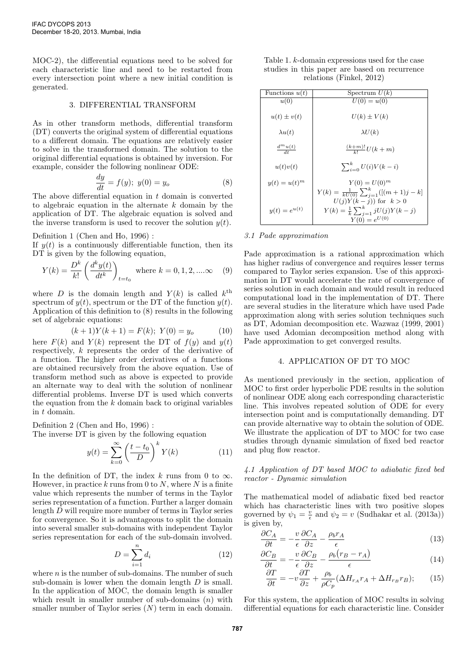MOC-2), the differential equations need to be solved for each characteristic line and need to be restarted from every intersection point where a new initial condition is generated.

#### 3. DIFFERENTIAL TRANSFORM

As in other transform methods, differential transform (DT) converts the original system of differential equations to a different domain. The equations are relatively easier to solve in the transformed domain. The solution to the original differential equations is obtained by inversion. For example, consider the following nonlinear ODE:

$$
\frac{dy}{dt} = f(y); \ y(0) = y_o \tag{8}
$$

The above differential equation in  $t$  domain is converted to algebraic equation in the alternate  $k$  domain by the application of DT. The algebraic equation is solved and the inverse transform is used to recover the solution  $y(t)$ .

Definition 1 (Chen and Ho, 1996) :

If  $y(t)$  is a continuously differentiable function, then its DT is given by the following equation,

$$
Y(k) = \frac{D^k}{k!} \left( \frac{d^k y(t)}{dt^k} \right)_{t=t_0}
$$
 where  $k = 0, 1, 2, \dots \infty$  (9)

where D is the domain length and  $Y(k)$  is called  $k^{\text{th}}$ spectrum of  $y(t)$ , spectrum or the DT of the function  $y(t)$ . Application of this definition to (8) results in the following set of algebraic equations:

$$
(k+1)Y(k+1) = F(k); Y(0) = y_o \tag{10}
$$

here  $F(k)$  and  $Y(k)$  represent the DT of  $f(y)$  and  $y(t)$ respectively, k represents the order of the derivative of a function. The higher order derivatives of a functions are obtained recursively from the above equation. Use of transform method such as above is expected to provide an alternate way to deal with the solution of nonlinear differential problems. Inverse DT is used which converts the equation from the  $k$  domain back to original variables in t domain.

Definition 2 (Chen and Ho, 1996) :

The inverse DT is given by the following equation

$$
y(t) = \sum_{k=0}^{\infty} \left(\frac{t - t_0}{D}\right)^k Y(k)
$$
 (11)

In the definition of DT, the index k runs from 0 to  $\infty$ . However, in practice k runs from 0 to N, where N is a finite value which represents the number of terms in the Taylor series representation of a function. Further a larger domain length D will require more number of terms in Taylor series for convergence. So it is advantageous to split the domain into several smaller sub-domains with independent Taylor series representation for each of the sub-domain involved.

$$
D = \sum_{i=1}^{n} d_i \tag{12}
$$

where  $n$  is the number of sub-domains. The number of such sub-domain is lower when the domain length D is small. In the application of MOC, the domain length is smaller which result in smaller number of sub-domains  $(n)$  with smaller number of Taylor series  $(N)$  term in each domain.

| Table 1. $k$ -domain expressions used for the case |  |                             |  |  |  |
|----------------------------------------------------|--|-----------------------------|--|--|--|
| studies in this paper are based on recurrence      |  |                             |  |  |  |
|                                                    |  | relations (Finkel, $2012$ ) |  |  |  |

| Functions $u(t)$      | Spectrum $U(k)$                                                                                                                                          |
|-----------------------|----------------------------------------------------------------------------------------------------------------------------------------------------------|
| u(0)                  | $U(0) = u(0)$                                                                                                                                            |
| $u(t) \pm v(t)$       | $U(k) \pm V(k)$                                                                                                                                          |
| $\lambda u(t)$        | $\lambda U(k)$                                                                                                                                           |
| $\frac{d^m u(t)}{dt}$ | $\frac{(k+m)!}{k!}U(k+m)$                                                                                                                                |
| u(t)v(t)              | $\sum_{i=0}^{k} U(i) V(k-i)$                                                                                                                             |
| $y(t) = u(t)^m$       | $Y(0) = U(0)^m$                                                                                                                                          |
| $y(t) = e^{u(t)}$     | $Y(k) = \frac{1}{kU(0)} \sum_{j=1}^{k} ([(m+1)j - k]$<br>$U(j)Y(k-j))$ for $k>0$<br>$Y(k) = \frac{1}{k} \sum_{j=1}^{k} jU(j)Y(k-j)$<br>$Y(0) = e^{U(0)}$ |

# 3.1 Pade approximation

Pade approximation is a rational approximation which has higher radius of convergence and requires lesser terms compared to Taylor series expansion. Use of this approximation in DT would accelerate the rate of convergence of series solution in each domain and would result in reduced computational load in the implementation of DT. There are several studies in the literature which have used Pade approximation along with series solution techniques such as DT, Adomian decomposition etc. Wazwaz (1999, 2001) have used Adomian decomposition method along with Pade approximation to get converged results.

## 4. APPLICATION OF DT TO MOC

As mentioned previously in the section, application of MOC to first order hyperbolic PDE results in the solution of nonlinear ODE along each corresponding characteristic line. This involves repeated solution of ODE for every intersection point and is computationally demanding. DT can provide alternative way to obtain the solution of ODE. We illustrate the application of DT to MOC for two case studies through dynamic simulation of fixed bed reactor and plug flow reactor.

#### 4.1 Application of DT based MOC to adiabatic fixed bed reactor - Dynamic simulation

The mathematical model of adiabatic fixed bed reactor which has characteristic lines with two positive slopes governed by  $\psi_1 = \frac{v}{\epsilon}$  and  $\psi_2 = v$  (Sudhakar et al. (2013a)) is given by,

$$
\frac{\partial C_A}{\partial t} = -\frac{v}{\epsilon} \frac{\partial C_A}{\partial z} - \frac{\rho_b r_A}{\epsilon} \tag{13}
$$

$$
\frac{\partial C_B}{\partial t} = -\frac{v}{2} \frac{\partial C_B}{\partial t} - \frac{\rho_b (r_B - r_A)}{r} \tag{14}
$$

$$
\frac{\partial \sigma_B}{\partial t} = -\frac{\partial \sigma_B}{\partial z} - \frac{\rho_0 (r_B + r_A)}{\epsilon} \tag{14}
$$
\n
$$
\frac{\partial T}{\partial T} = \frac{\partial T}{\partial t} + \frac{\rho_b}{\rho_b} \left(\Delta H - r_a + \Delta H - r_b\right) \tag{15}
$$

$$
\frac{\partial L}{\partial t} = -v \frac{\partial L}{\partial z} + \frac{\rho_0}{\rho C_p} (\Delta H_{r_A} r_A + \Delta H_{r_B} r_B); \tag{15}
$$

For this system, the application of MOC results in solving differential equations for each characteristic line. Consider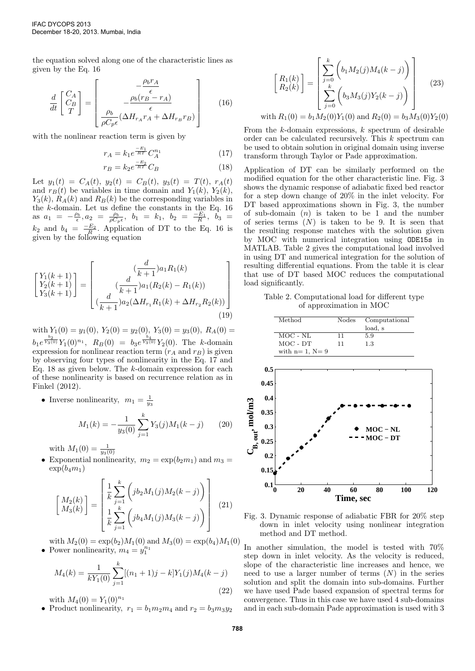the equation solved along one of the characteristic lines as given by the Eq. 16

$$
\frac{d}{dt} \begin{bmatrix} C_A \\ C_B \\ T \end{bmatrix} = \begin{bmatrix} -\frac{\rho_b r_A}{\epsilon} \\ -\frac{\rho_b (r_B - r_A)}{\epsilon} \\ \frac{\rho_b}{\rho C_p \epsilon} (\Delta H_{r_A} r_A + \Delta H_{r_B} r_B) \end{bmatrix}
$$
(16)

with the nonlinear reaction term is given by

$$
r_A = k_1 e^{\frac{-E_1}{RT}} C_A^{n_1}
$$
 (17)

$$
r_B = k_2 e^{\frac{-E_2}{RT}} C_B \tag{18}
$$

Let  $y_1(t) = C_A(t), y_2(t) = C_B(t), y_3(t) = T(t), r_A(t)$ and  $r_B(t)$  be variables in time domain and  $Y_1(k)$ ,  $Y_2(k)$ ,  $Y_3(k)$ ,  $R_A(k)$  and  $R_B(k)$  be the corresponding variables in the  $k$ -domain. Let us define the constants in the Eq. 16 as  $a_1 = -\frac{\rho_b}{\epsilon}, a_2 = \frac{\rho_b}{\rho C_p \epsilon}, b_1 = k_1, b_2 = \frac{-E_1}{R}, b_3 =$  $k_2$  and  $b_4 = \frac{-E_2}{R}$ . Application of DT to the Eq. 16 is given by the following equation

$$
\begin{bmatrix} Y_1(k+1) \\ Y_2(k+1) \\ Y_3(k+1) \end{bmatrix} = \begin{bmatrix} \frac{d}{k+1} a_1 R_1(k) \\ \frac{d}{k+1} a_1 (R_2(k) - R_1(k)) \\ \frac{d}{k+1} a_2 (\Delta H_{r_1} R_1(k) + \Delta H_{r_2} R_2(k)) \end{bmatrix}
$$
\n(19)

with  $Y_1(0) = y_1(0)$ ,  $Y_2(0) = y_2(0)$ ,  $Y_3(0) = y_3(0)$ ,  $R_A(0) =$  $b_1e^{\frac{b_2}{Y_3(0)}}Y_1(0)^{n_1}, R_B(0) = b_3e^{\frac{b_4}{Y_3(0)}}Y_2(0).$  The k-domain expression for nonlinear reaction term  $(r_A \text{ and } r_B)$  is given by observing four types of nonlinearity in the Eq. 17 and Eq. 18 as given below. The  $k$ -domain expression for each of these nonlinearity is based on recurrence relation as in Finkel (2012).

• Inverse nonlinearity,  $m_1 = \frac{1}{y_3}$ 

$$
M_1(k) = -\frac{1}{y_3(0)} \sum_{j=1}^{k} Y_3(j) M_1(k-j) \qquad (20)
$$

with  $M_1(0) = \frac{1}{y_3(0)}$ 

• Exponential nonlinearity,  $m_2 = \exp(b_2 m_1)$  and  $m_3 =$  $\exp(b_4m_1)$ 

$$
\begin{bmatrix} M_2(k) \\ M_3(k) \end{bmatrix} = \begin{bmatrix} \frac{1}{k} \sum_{j=1}^k \left( j b_2 M_1(j) M_2(k-j) \right) \\ \frac{1}{k} \sum_{j=1}^k \left( j b_4 M_1(j) M_3(k-j) \right) \end{bmatrix}
$$
(21)

with  $M_2(0) = \exp(b_2)M_1(0)$  and  $M_3(0) = \exp(b_4)M_1(0)$ • Power nonlinearity,  $m_4 = y_1^{n_1}$ 

$$
M_4(k) = \frac{1}{kY_1(0)} \sum_{j=1}^k [(n_1 + 1)j - k]Y_1(j)M_4(k - j)
$$
\n(22)

with  $M_4(0) = Y_1(0)^{n_1}$ 

• Product nonlinearity,  $r_1 = b_1 m_2 m_4$  and  $r_2 = b_3 m_3 y_2$ 

$$
\begin{bmatrix} R_1(k) \\ R_2(k) \end{bmatrix} = \begin{bmatrix} \sum_{j=0}^{k} \left( b_1 M_2(j) M_4(k-j) \right) \\ \sum_{j=0}^{k} \left( b_3 M_3(j) Y_2(k-j) \right) \\ \sum_{j=0}^{k} \left( b_3 M_3(j) Y_2(k-j) \right) \end{bmatrix}
$$
 (23)  
with  $R_1(0) = b_1 M_2(0) Y_1(0)$  and  $R_2(0) = b_3 M_3(0) Y_2(0)$ 

From the  $k$ -domain expressions,  $k$  spectrum of desirable order can be calculated recursively. This k spectrum can be used to obtain solution in original domain using inverse transform through Taylor or Pade approximation.

Application of DT can be similarly performed on the modified equation for the other characteristic line. Fig. 3 shows the dynamic response of adiabatic fixed bed reactor for a step down change of 20% in the inlet velocity. For DT based approximations shown in Fig. 3, the number of sub-domain  $(n)$  is taken to be 1 and the number of series terms  $(N)$  is taken to be 9. It is seen that the resulting response matches with the solution given by MOC with numerical integration using ODE15s in MATLAB. Table 2 gives the computational load involved in using DT and numerical integration for the solution of resulting differential equations. From the table it is clear that use of DT based MOC reduces the computational load significantly.

Table 2. Computational load for different type of approximation in MOC

| Method             | Nodes | Computational |
|--------------------|-------|---------------|
|                    |       | load, s       |
| $MOC - NL$         | 11    | 5.9           |
| $MOC$ - $DT$       | 11    | 1.3           |
| with $n=1$ , $N=9$ |       |               |
|                    |       |               |
| $0.5\,$            |       |               |



Fig. 3. Dynamic response of adiabatic FBR for 20% step down in inlet velocity using nonlinear integration method and DT method.

In another simulation, the model is tested with 70% step down in inlet velocity. As the velocity is reduced, slope of the characteristic line increases and hence, we need to use a larger number of terms  $(N)$  in the series solution and split the domain into sub-domains. Further we have used Pade based expansion of spectral terms for convergence. Thus in this case we have used 4 sub-domains and in each sub-domain Pade approximation is used with 3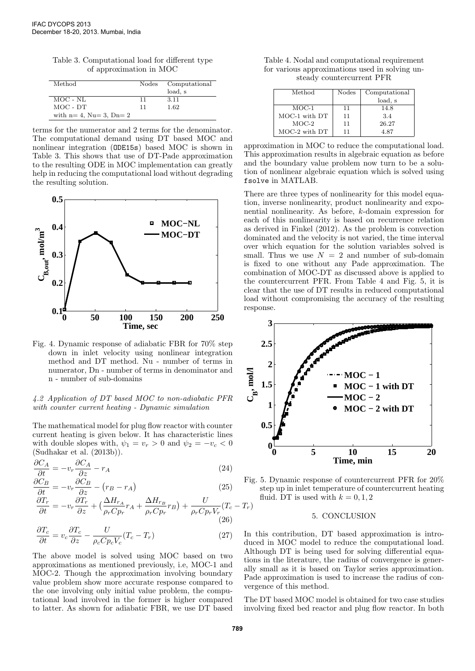Table 3. Computational load for different type of approximation in MOC

| Method                    | Nodes | Computational |
|---------------------------|-------|---------------|
|                           |       | load, s       |
| MOC - NL                  | 11    | 3.11          |
| MOC - DT                  | 11    | 1.62          |
| with $n=4$ , Nu= 3, Dn= 2 |       |               |

terms for the numerator and 2 terms for the denominator. The computational demand using DT based MOC and nonlinear integration (ODE15s) based MOC is shown in Table 3. This shows that use of DT-Pade approximation to the resulting ODE in MOC implementation can greatly help in reducing the computational load without degrading the resulting solution.



Fig. 4. Dynamic response of adiabatic FBR for 70% step down in inlet velocity using nonlinear integration method and DT method. Nu - number of terms in numerator, Dn - number of terms in denominator and n - number of sub-domains

# 4.2 Application of DT based MOC to non-adiabatic PFR with counter current heating - Dynamic simulation

The mathematical model for plug flow reactor with counter current heating is given below. It has characteristic lines with double slopes with,  $\psi_1 = v_r > 0$  and  $\psi_2 = -v_c < 0$ (Sudhakar et al. (2013b)).

$$
\frac{\partial C_A}{\partial t} = -v_r \frac{\partial C_A}{\partial z} - r_A \tag{24}
$$

$$
\frac{\partial C_B}{\partial t} = -v_r \frac{\partial C_B}{\partial z} - (r_B - r_A) \tag{25}
$$

$$
\frac{\partial T_r}{\partial t} = -v_r \frac{\partial T_r}{\partial z} + \left(\frac{\Delta H_{r_A}}{\rho_r C p_r} r_A + \frac{\Delta H_{r_B}}{\rho_r C p_r} r_B\right) + \frac{U}{\rho_r C p_r V_r} (T_c - T_r) \tag{26}
$$

$$
\frac{\partial T_c}{\partial t} = v_c \frac{\partial T_c}{\partial z} - \frac{U}{\rho_c C p_c V_c} (T_c - T_r)
$$
\n(27)

The above model is solved using MOC based on two approximations as mentioned previously, i.e, MOC-1 and MOC-2. Though the approximation involving boundary value problem show more accurate response compared to the one involving only initial value problem, the computational load involved in the former is higher compared to latter. As shown for adiabatic FBR, we use DT based

Table 4. Nodal and computational requirement for various approximations used in solving unsteady countercurrent PFR

| Method            | <b>Nodes</b> | Computational |
|-------------------|--------------|---------------|
|                   |              | load, s       |
| $MOC-1$           | 11           | 14.8          |
| MOC-1 with DT     | 11           | 3.4           |
| $MOC-2$           | 11           | 26.27         |
| $MOC-2$ with $DT$ | 11           | 4.87          |

approximation in MOC to reduce the computational load. This approximation results in algebraic equation as before and the boundary value problem now turn to be a solution of nonlinear algebraic equation which is solved using fsolve in MATLAB.

There are three types of nonlinearity for this model equation, inverse nonlinearity, product nonlinearity and exponential nonlinearity. As before, k-domain expression for each of this nonlinearity is based on recurrence relation as derived in Finkel (2012). As the problem is convection dominated and the velocity is not varied, the time interval over which equation for the solution variables solved is small. Thus we use  $N = 2$  and number of sub-domain is fixed to one without any Pade approximation. The combination of MOC-DT as discussed above is applied to the countercurrent PFR. From Table 4 and Fig. 5, it is clear that the use of DT results in reduced computational load without compromising the accuracy of the resulting response.



Fig. 5. Dynamic response of countercurrent PFR for 20% step up in inlet temperature of countercurrent heating fluid. DT is used with  $k = 0, 1, 2$ 

#### 5. CONCLUSION

In this contribution, DT based approximation is introduced in MOC model to reduce the computational load. Although DT is being used for solving differential equations in the literature, the radius of convergence is generally small as it is based on Taylor series approximation. Pade approximation is used to increase the radius of convergence of this method.

The DT based MOC model is obtained for two case studies involving fixed bed reactor and plug flow reactor. In both